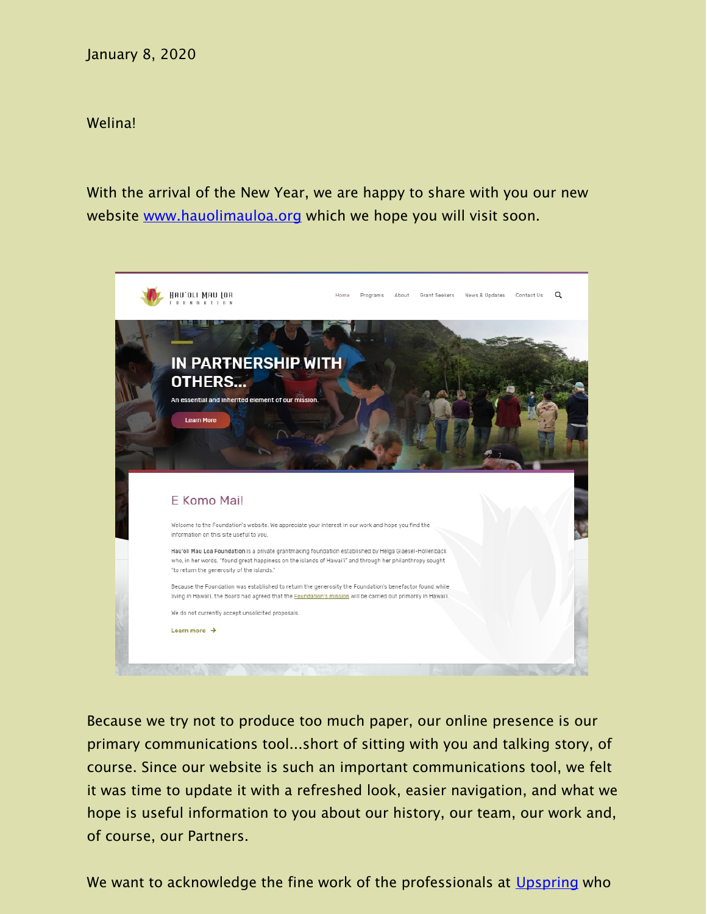## January 8, 2020

## Welina!

With the arrival of the New Year, we are happy to share with you our new website [www.hauolimauloa.org](http:/?utm_source=23a.+Announcement%3A+New+Website+Launched+%28Jan.+2020%29&utm_campaign=Constant+Contact%3A+Announcement%3A+New+Website+Launched+%28Jan.+2020%29+&utm_medium=email) which we hope you will visit soon.



Because we try not to produce too much paper, our online presence is our primary communications tool...short of sitting with you and talking story, of course. Since our website is such an important communications tool, we felt it was time to update it with a refreshed look, easier navigation, and what we hope is useful information to you about our history, our team, our work and, of course, our Partners.

We want to acknowledge the fine work of the professionals at [Upspring](https://www.upspringdigital.com/?utm_source=23a.+Announcement%3A+New+Website+Launched+%28Jan.+2020%29&utm_campaign=Constant+Contact%3A+Announcement%3A+New+Website+Launched+%28Jan.+2020%29+&utm_medium=email) who